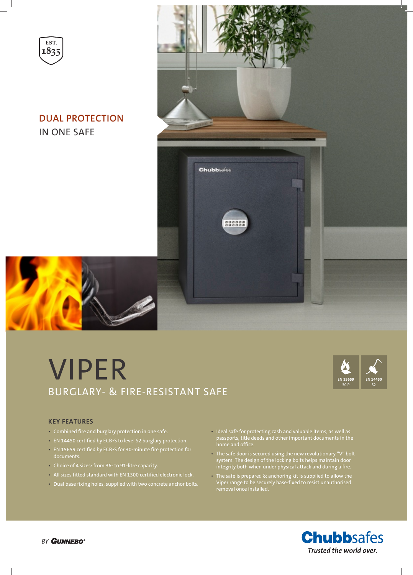

# **DUAL PROTECTION** IN ONE SAFE



# VIPER BURGLARY- & FIRE-RESISTANT SAFE



### **KEY FEATURES**

- Combined fire and burglary protection in one safe.
- EN 14450 certified by ECB•S to level S2 burglary protection.
- EN 15659 certified by ECB•S for 30-minute fire protection for documents.
- Choice of 4 sizes: from 36- to 91-litre capacity.
- All sizes fitted standard with EN 1300 certified electronic lock.
- Dual base fixing holes, supplied with two concrete anchor bolts.
- Ideal safe for protecting cash and valuable items, as well as passports, title deeds and other important documents in the home and office.
- The safe door is secured using the new revolutionary "V" bolt system. The design of the locking bolts helps maintain door integrity both when under physical attack and during a fire.
- The safe is prepared & anchoring kit is supplied to allow the Viper range to be securely base-fixed to resist unauthorised removal once installed.